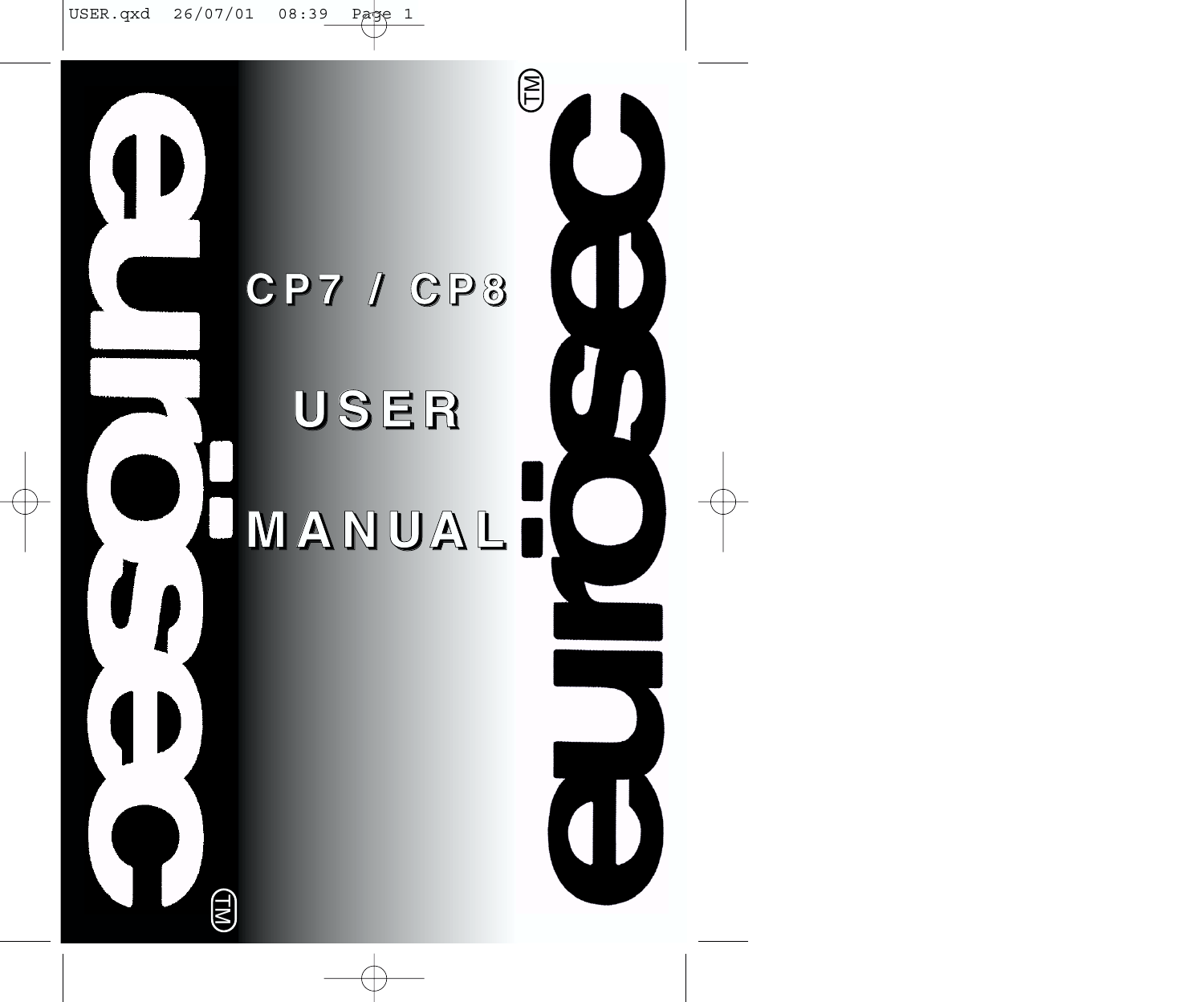# **C P 7 / C P 8 U S E R M A N UA L**

(TM

E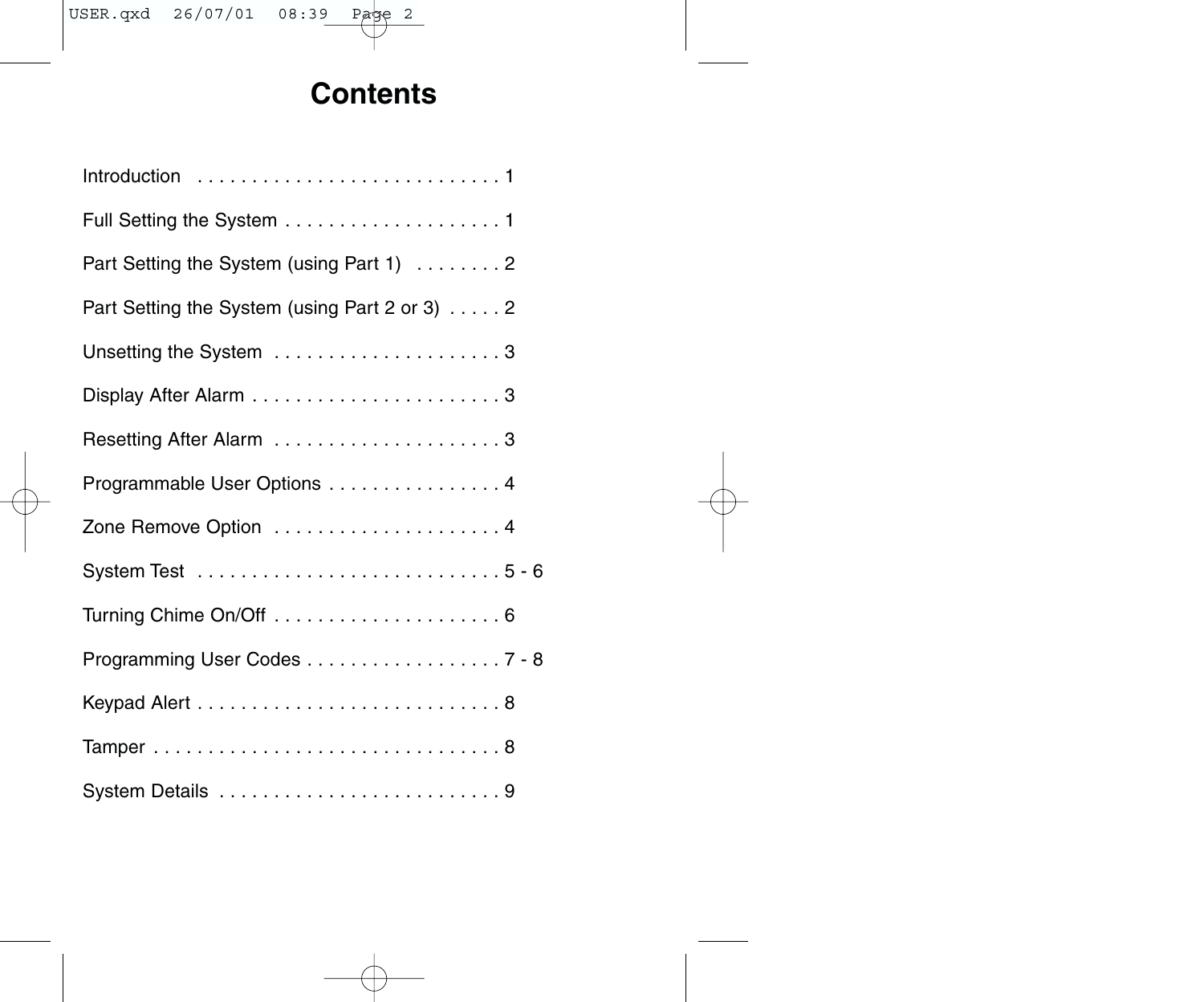# **Contents**

| Part Setting the System (using Part 1) 2      |
|-----------------------------------------------|
| Part Setting the System (using Part 2 or 3) 2 |
|                                               |
|                                               |
| Resetting After Alarm 3                       |
| Programmable User Options 4                   |
|                                               |
|                                               |
|                                               |
| Programming User Codes 7 - 8                  |
|                                               |
|                                               |
|                                               |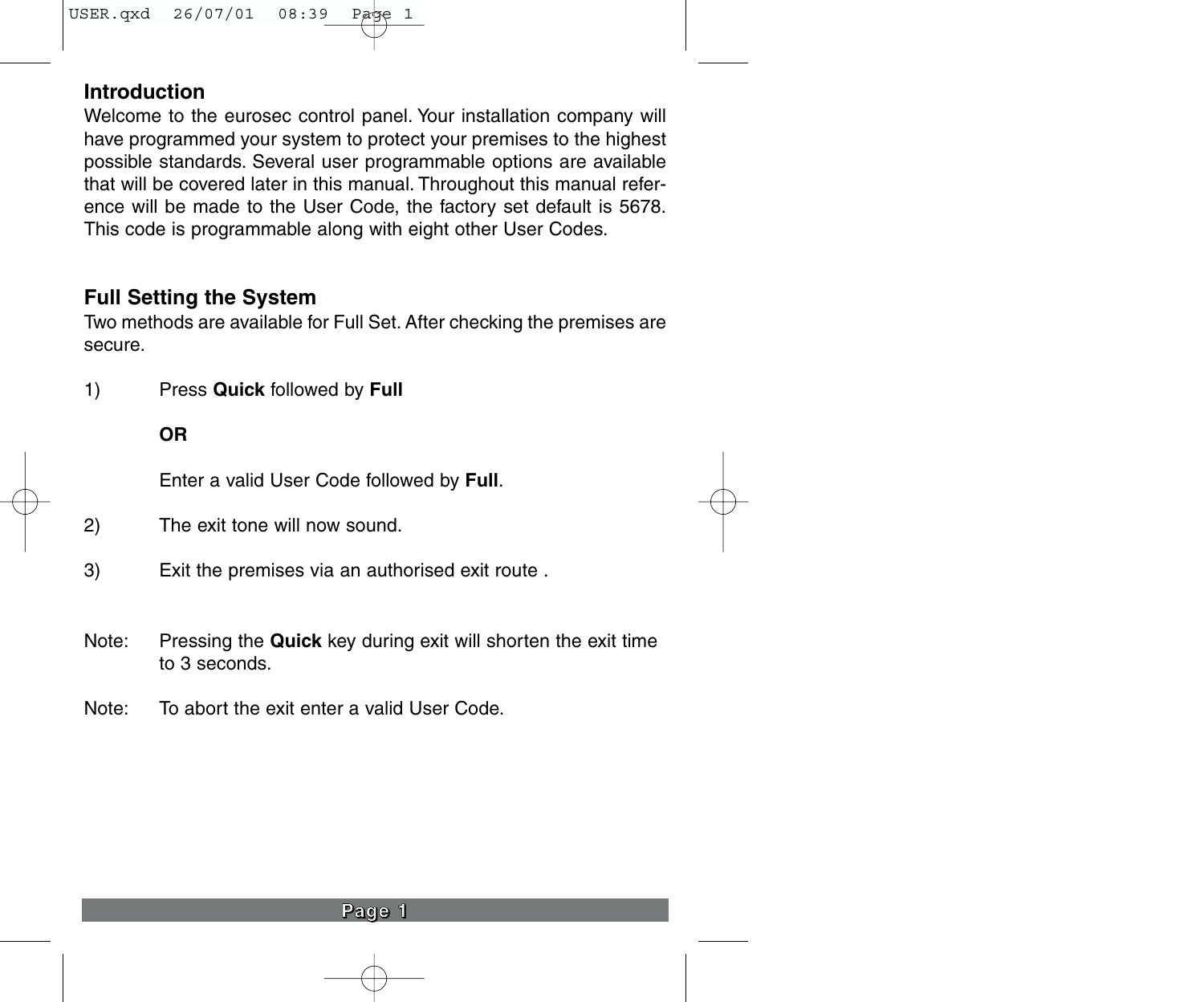# **Introduction**

Welcome to the eurosec control panel. Your installation company will have programmed your system to protect your premises to the highest possible standards. Several user programmable options are available that will be covered later in this manual. Throughout this manual reference will be made to the User Code, the factory set default is 5678. This code is programmable along with eight other User Codes.

# **Full Setting the System**

Two methods are available for Full Set. After checking the premises are secure.

1) Press **Quick** followed by **Full**

#### **OR**

Enter a valid User Code followed by **Full**.

- 2) The exit tone will now sound.
- 3) Exit the premises via an authorised exit route .
- Note: Pressing the **Quick** key during exit will shorten the exit time to 3 seconds.
- Note: To abort the exit enter a valid User Code.

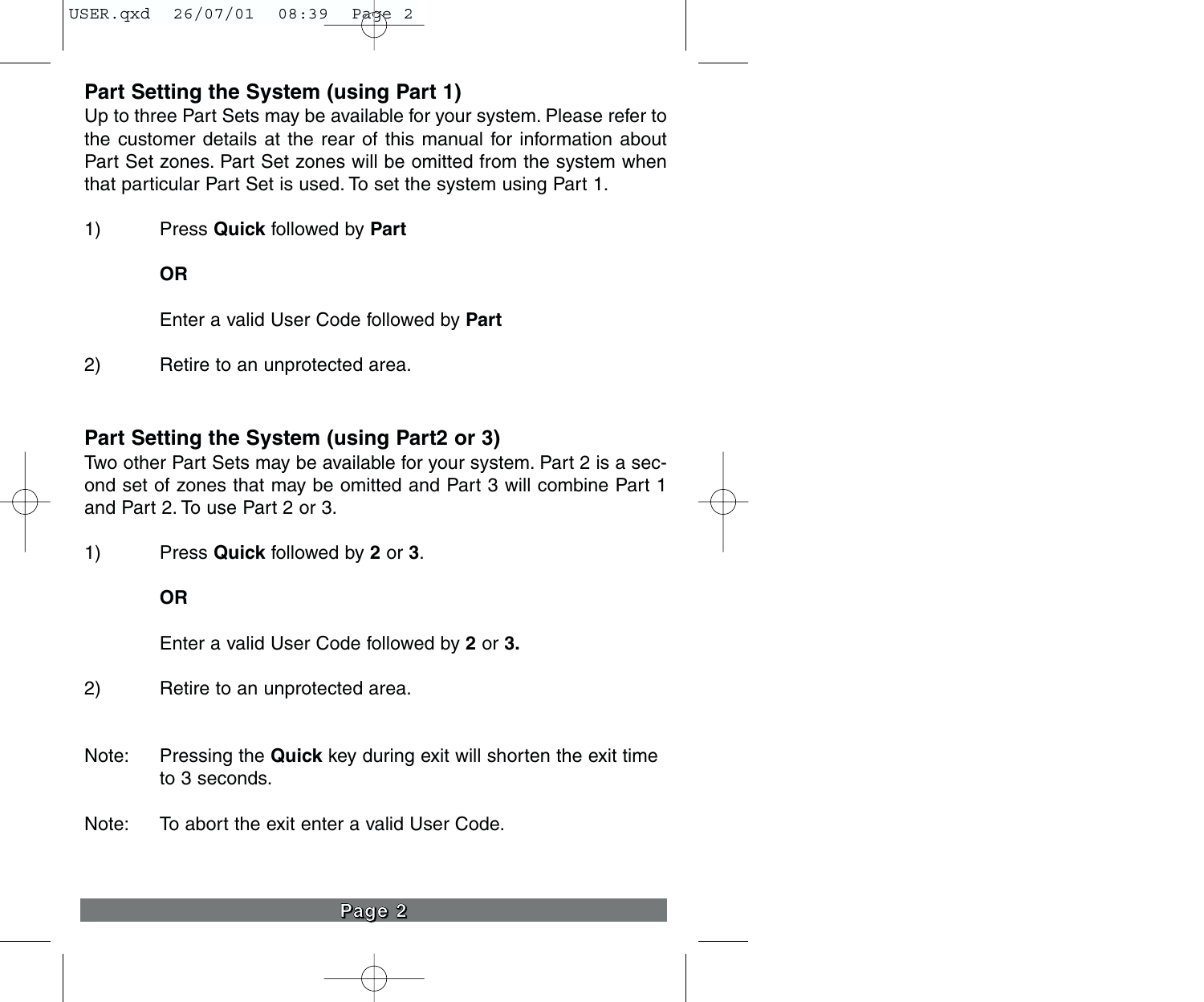# **Part Setting the System (using Part 1)**

Up to three Part Sets may be available for your system. Please refer to the customer details at the rear of this manual for information about Part Set zones. Part Set zones will be omitted from the system when that particular Part Set is used. To set the system using Part 1.

1) Press **Quick** followed by **Part**

**OR**

Enter a valid User Code followed by **Part**

2) Retire to an unprotected area.

### **Part Setting the System (using Part2 or 3)**

Two other Part Sets may be available for your system. Part 2 is a second set of zones that may be omitted and Part 3 will combine Part 1 and Part 2. To use Part 2 or 3.

1) Press **Quick** followed by **2** or **3**.

**OR**

Enter a valid User Code followed by **2** or **3.**

2) Retire to an unprotected area.

- Note: Pressing the **Quick** key during exit will shorten the exit time to 3 seconds.
- Note: To abort the exit enter a valid User Code.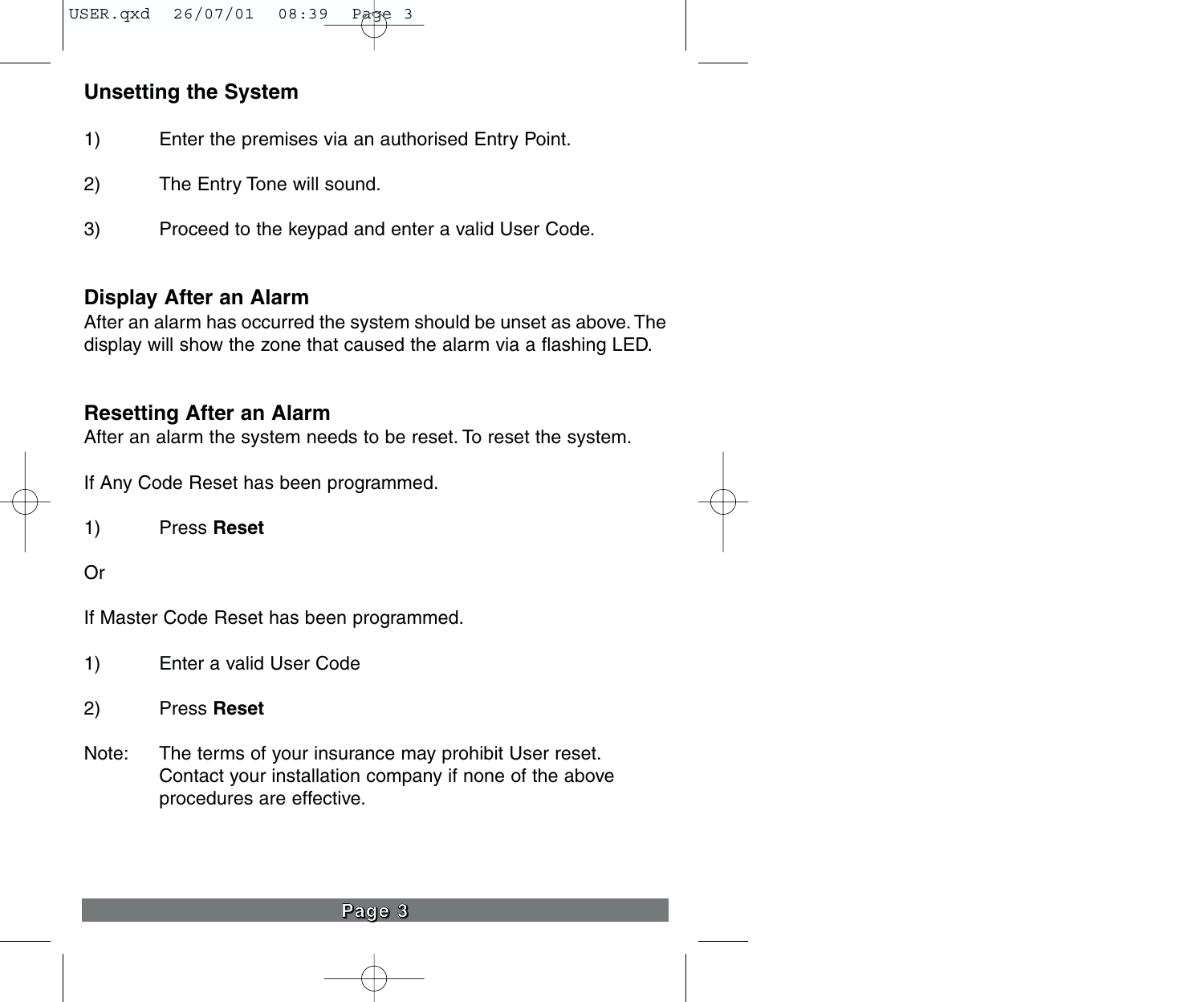# **Unsetting the System**

- 1) Enter the premises via an authorised Entry Point.
- 2) The Entry Tone will sound.
- 3) Proceed to the keypad and enter a valid User Code.

#### **Display After an Alarm**

After an alarm has occurred the system should be unset as above. The display will show the zone that caused the alarm via a flashing LED.

#### **Resetting After an Alarm**

After an alarm the system needs to be reset. To reset the system.

If Any Code Reset has been programmed.

1) Press **Reset**

Or

If Master Code Reset has been programmed.

- 1) Enter a valid User Code
- 2) Press **Reset**
- Note: The terms of your insurance may prohibit User reset. Contact your installation company if none of the above procedures are effective.

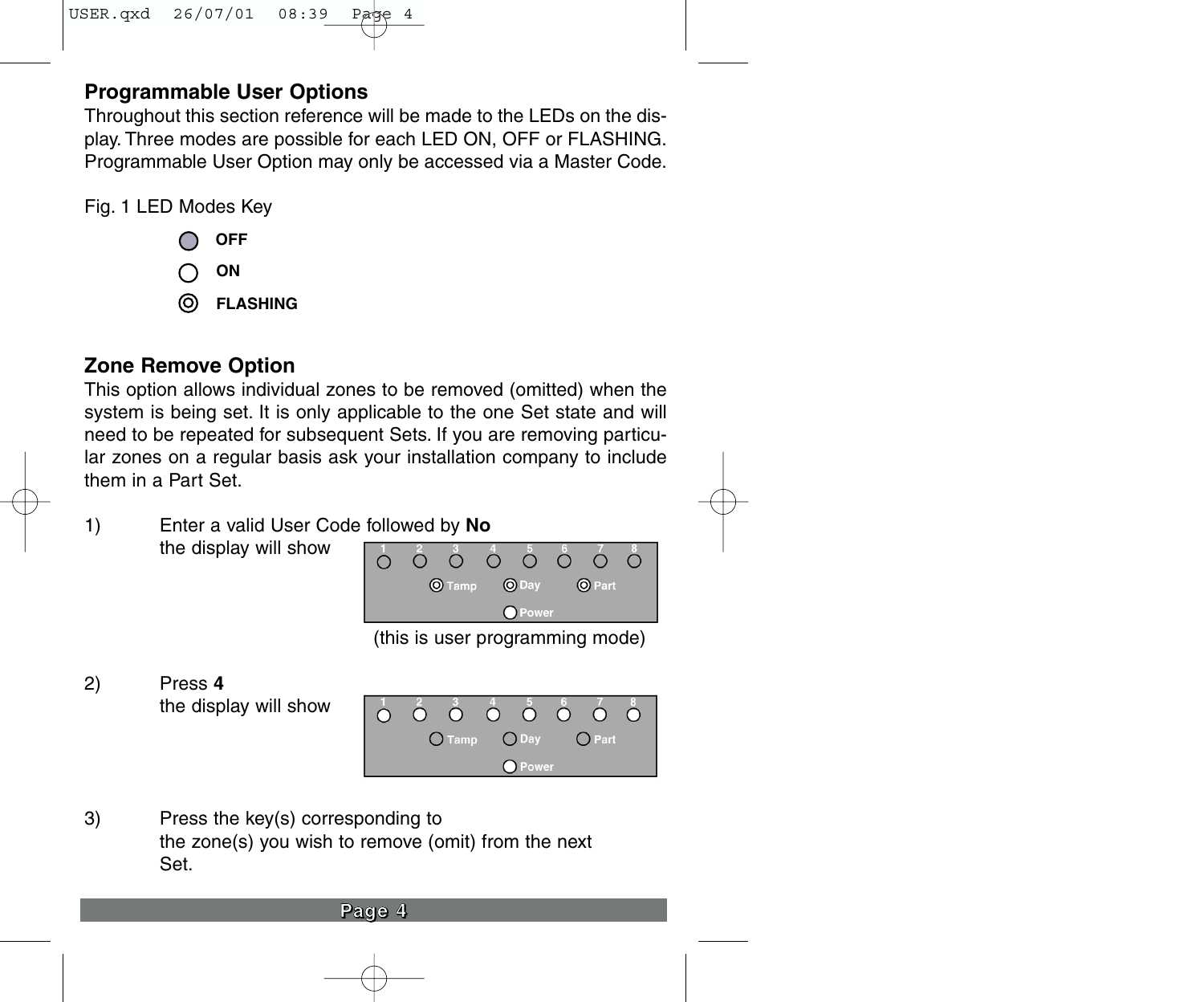# **Programmable User Options**

Throughout this section reference will be made to the LEDs on the display. Three modes are possible for each LED ON, OFF or FLASHING. Programmable User Option may only be accessed via a Master Code.

Fig. 1 LED Modes Key

- **OFF**
- **ON**
- **FLASHING**

# **Zone Remove Option**

This option allows individual zones to be removed (omitted) when the system is being set. It is only applicable to the one Set state and will need to be repeated for subsequent Sets. If you are removing particular zones on a regular basis ask your installation company to include them in a Part Set.

1) Enter a valid User Code followed by **No** the display will show



(this is user programming mode)

2) Press **4**  the display will show



3) Press the key(s) corresponding to the zone(s) you wish to remove (omit) from the next Set.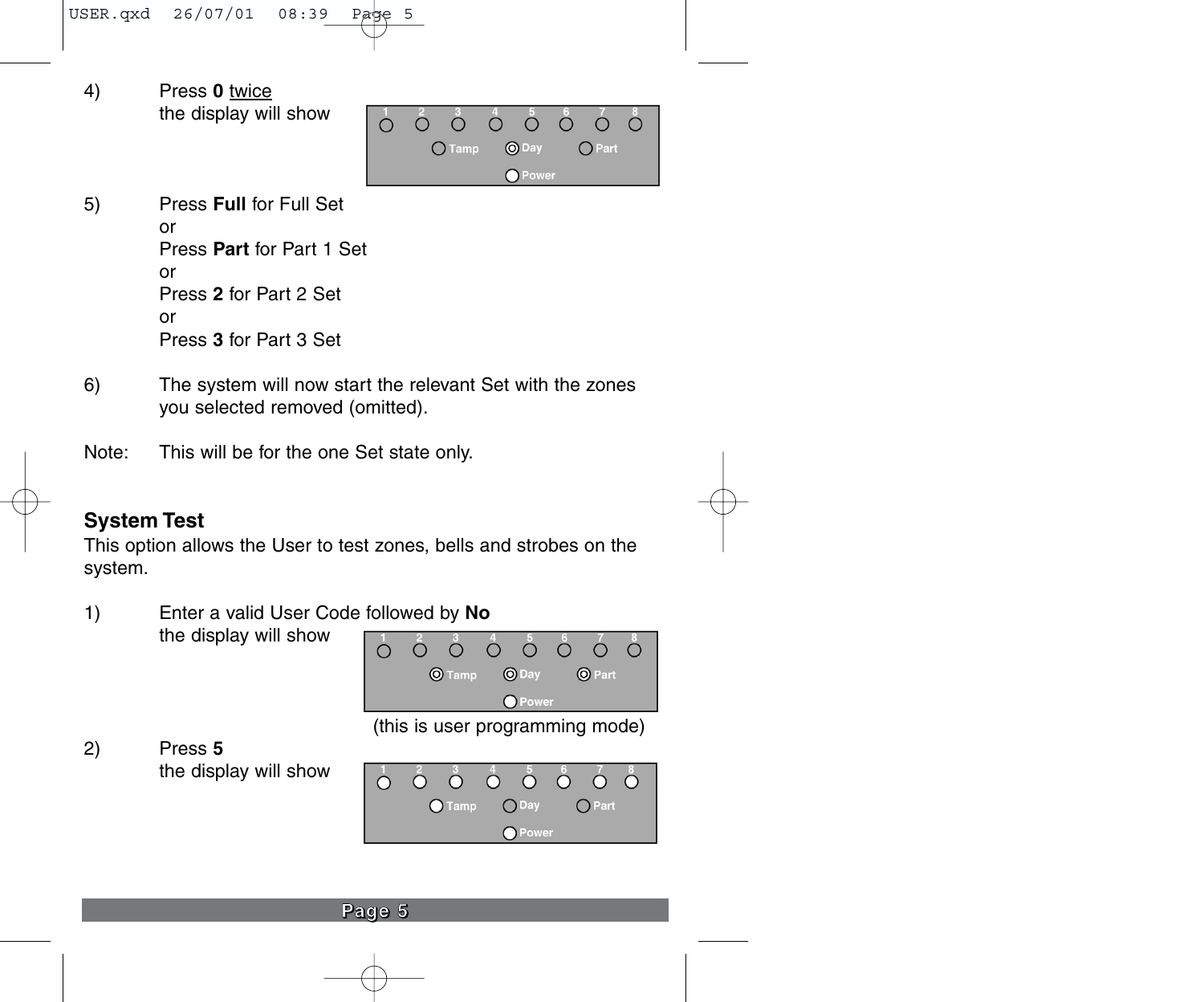- 4) Press **0** twice the display will show  $\circ$  $\circ$  $\circ$ ∩.  $\bigcirc$  $\bigcirc$ Ω  $O$ Tamp O Day  $O$  Part O Power 5) Press **Full** for Full Set or Press **Part** for Part 1 Set or Press **2** for Part 2 Set or Press **3** for Part 3 Set
- 6) The system will now start the relevant Set with the zones you selected removed (omitted).
- Note: This will be for the one Set state only.

# **System Test**

This option allows the User to test zones, bells and strobes on the system.

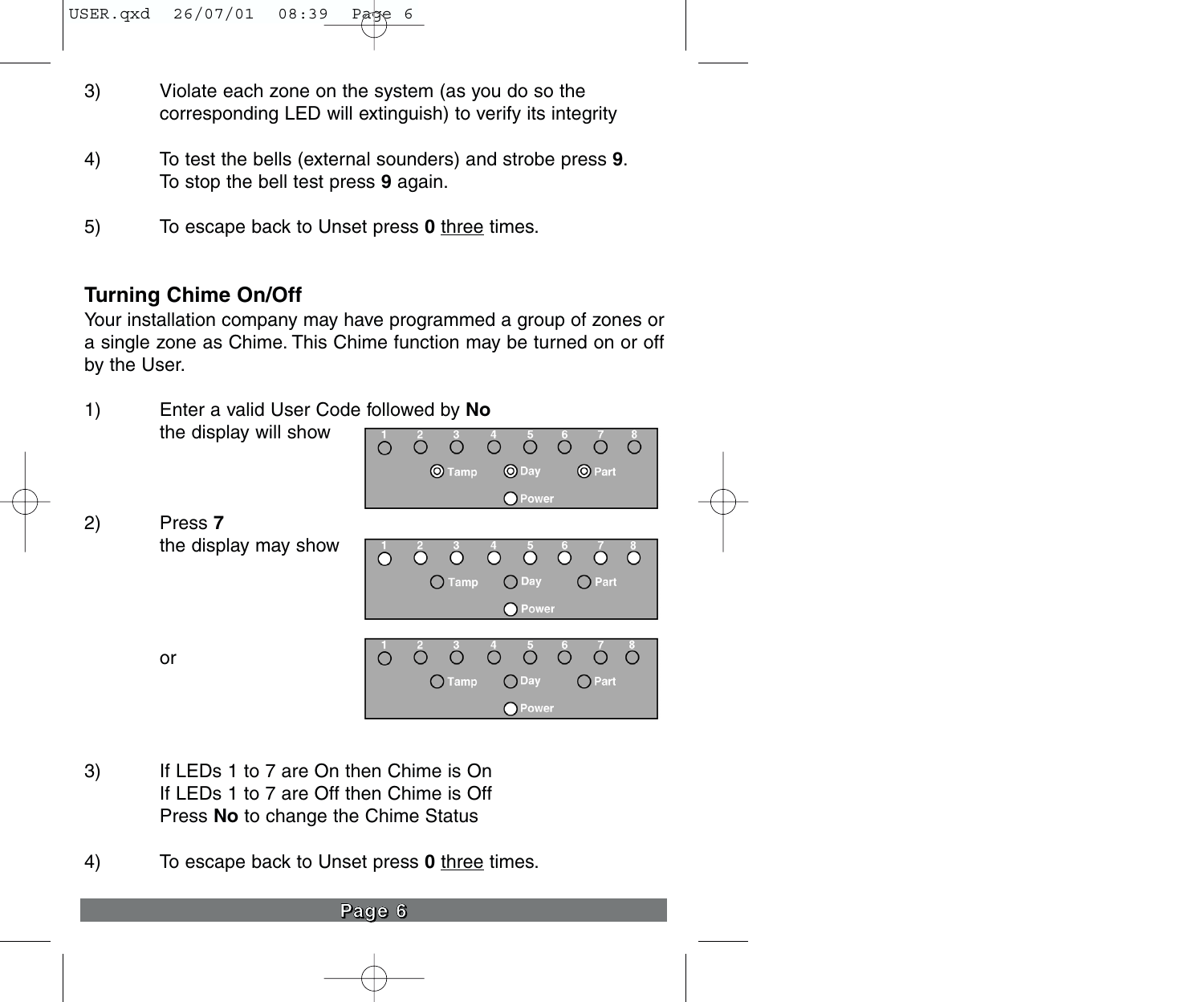- 3) Violate each zone on the system (as you do so the corresponding LED will extinguish) to verify its integrity
- 4) To test the bells (external sounders) and strobe press **9**. To stop the bell test press **9** again.
- 5) To escape back to Unset press **0** three times.

# **Turning Chime On/Off**

Your installation company may have programmed a group of zones or a single zone as Chime. This Chime function may be turned on or off by the User.



- 3) If LEDs 1 to 7 are On then Chime is On If LEDs 1 to 7 are Off then Chime is Off Press **No** to change the Chime Status
- 4) To escape back to Unset press **0** three times.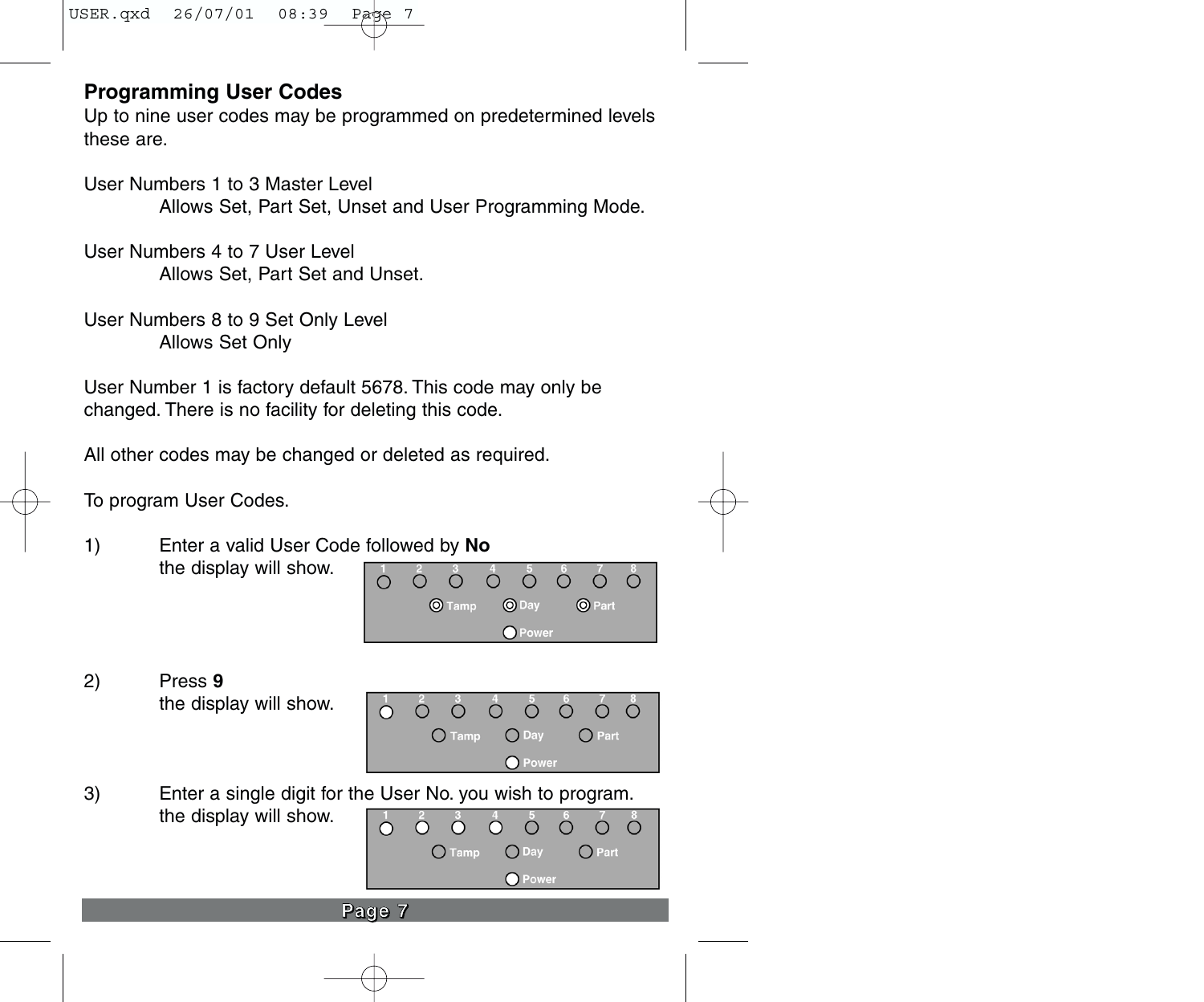# **Programming User Codes**

Up to nine user codes may be programmed on predetermined levels these are.

User Numbers 1 to 3 Master Level Allows Set, Part Set, Unset and User Programming Mode.

User Numbers 4 to 7 User Level Allows Set, Part Set and Unset.

User Numbers 8 to 9 Set Only Level Allows Set Only

User Number 1 is factory default 5678. This code may only be changed. There is no facility for deleting this code.

All other codes may be changed or deleted as required.

To program User Codes.

- 1) Enter a valid User Code followed by **No** the display will show.  $\circ$  $\cap$ O Tamp  $①$  Day **O** Part
- 2) Press **9** the display will show.



O Power

3) Enter a single digit for the User No. you wish to program. the display will show.  $\circ$ 

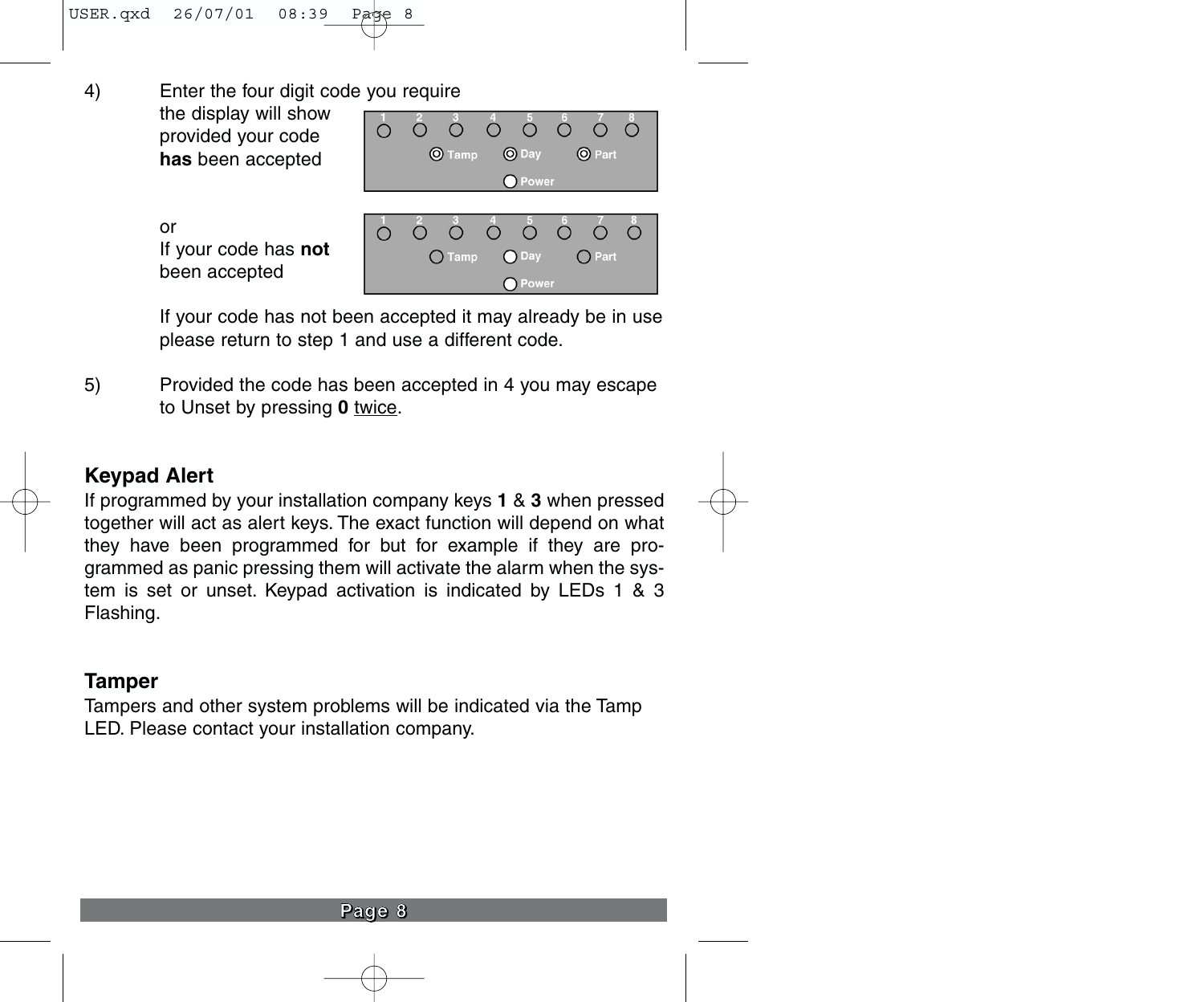4) Enter the four digit code you require

the display will show provided your code **has** been accepted



O Power

or If your code has **not**  been accepted

If your code has not been accepted it may already be in use please return to step 1 and use a different code.

5) Provided the code has been accepted in 4 you may escape to Unset by pressing **0** twice.

# **Keypad Alert**

If programmed by your installation company keys **1** & **3** when pressed together will act as alert keys. The exact function will depend on what they have been programmed for but for example if they are programmed as panic pressing them will activate the alarm when the system is set or unset. Keypad activation is indicated by LEDs 1 & 3 Flashing.

#### **Tamper**

Tampers and other system problems will be indicated via the Tamp LED. Please contact your installation company.

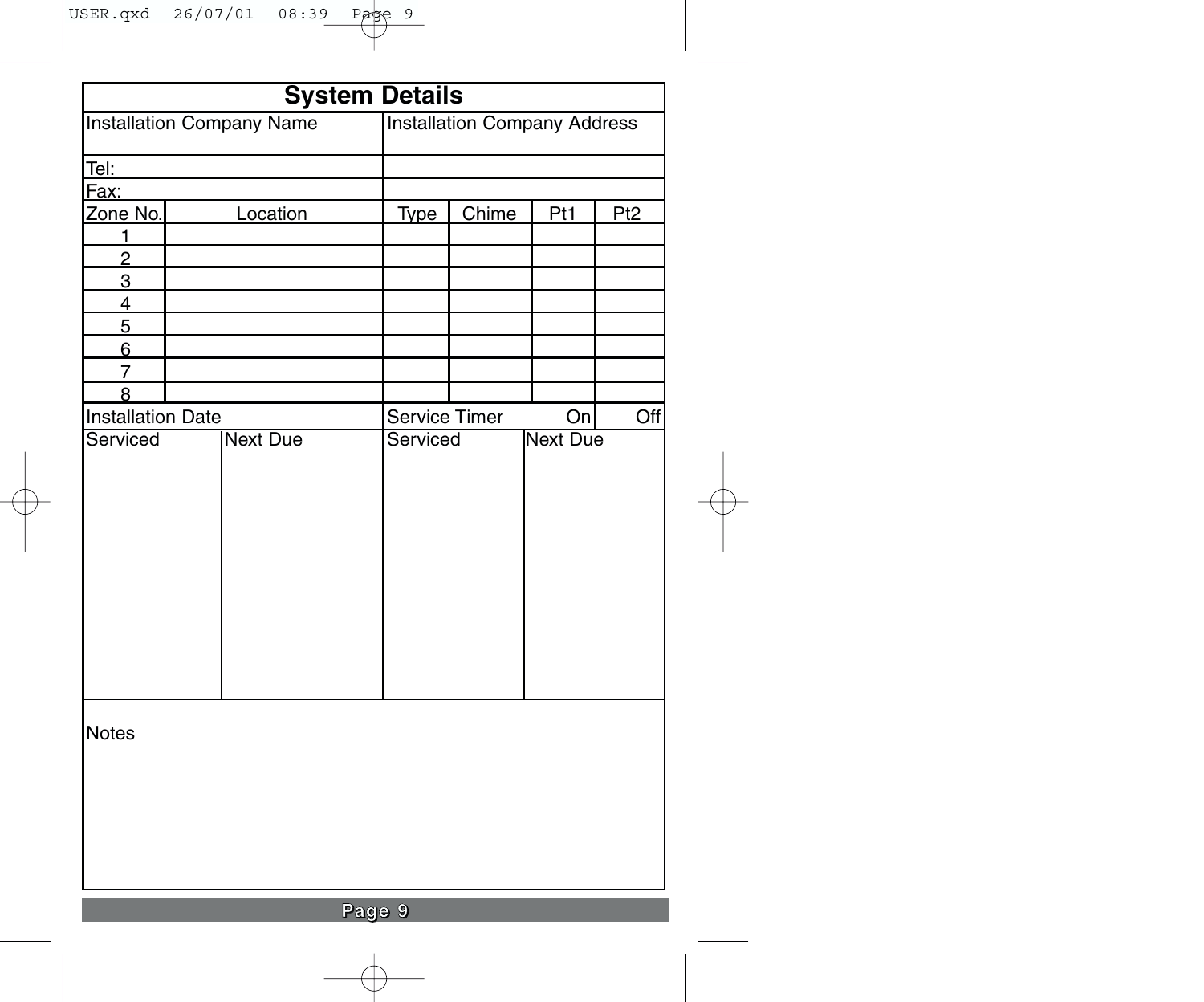| <b>System Details</b>    |                                         |             |                                     |                 |                 |  |
|--------------------------|-----------------------------------------|-------------|-------------------------------------|-----------------|-----------------|--|
|                          | <b>Installation Company Name</b>        |             | <b>Installation Company Address</b> |                 |                 |  |
| Tel:                     |                                         |             |                                     |                 |                 |  |
| Fax:                     |                                         |             |                                     |                 |                 |  |
| Zone No.                 | Location                                | <b>Type</b> | Chime                               | Pt1             | P <sub>t2</sub> |  |
| 1                        |                                         |             |                                     |                 |                 |  |
| $\overline{2}$           |                                         |             |                                     |                 |                 |  |
| 3                        |                                         |             |                                     |                 |                 |  |
| $\overline{4}$           |                                         |             |                                     |                 |                 |  |
| 5                        |                                         |             |                                     |                 |                 |  |
| $6 \overline{}$          |                                         |             |                                     |                 |                 |  |
| $\overline{7}$           |                                         |             |                                     |                 |                 |  |
| 8                        |                                         |             |                                     |                 |                 |  |
| <b>Installation Date</b> |                                         |             | Off<br>Service Timer<br>On          |                 |                 |  |
|                          | Serviced<br><b>Next Due</b><br>Serviced |             |                                     | <b>Next Due</b> |                 |  |
| Notes                    |                                         |             |                                     |                 |                 |  |